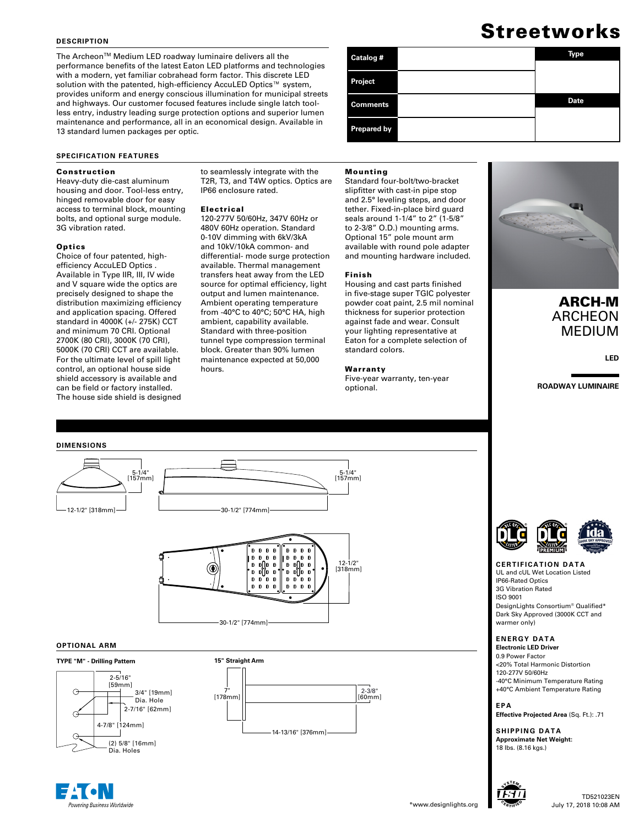#### **DESCRIPTION**

The Archeon™ Medium LED roadway luminaire delivers all the performance benefits of the latest Eaton LED platforms and technologies with a modern, yet familiar cobrahead form factor. This discrete LED solution with the patented, high-efficiency AccuLED Optics™ system, provides uniform and energy conscious illumination for municipal streets and highways. Our customer focused features include single latch toolless entry, industry leading surge protection options and superior lumen maintenance and performance, all in an economical design. Available in 13 standard lumen packages per optic.

#### **SPECIFICATION FEATURES**

#### Construction

Heavy-duty die-cast aluminum housing and door. Tool-less entry, hinged removable door for easy access to terminal block, mounting bolts, and optional surge module. 3G vibration rated.

#### **Optics**

Choice of four patented, highefficiency AccuLED Optics . Available in Type IIR, III, IV wide and V square wide the optics are precisely designed to shape the distribution maximizing efficiency and application spacing. Offered standard in 4000K (+/- 275K) CCT and minimum 70 CRI. Optional 2700K (80 CRI), 3000K (70 CRI), 5000K (70 CRI) CCT are available. For the ultimate level of spill light control, an optional house side shield accessory is available and can be field or factory installed. The house side shield is designed

#### to seamlessly integrate with the T2R, T3, and T4W optics. Optics are IP66 enclosure rated.

Mounting

Finish

standard colors.

Warranty

optional.

Standard four-bolt/two-bracket slipfitter with cast-in pipe stop and 2.5° leveling steps, and door tether. Fixed-in-place bird guard seals around 1-1/4" to 2" (1-5/8" to 2-3/8" O.D.) mounting arms. Optional 15" pole mount arm available with round pole adapter and mounting hardware included.

Housing and cast parts finished in five-stage super TGIC polyester powder coat paint, 2.5 mil nominal thickness for superior protection against fade and wear. Consult your lighting representative at Eaton for a complete selection of

Five-year warranty, ten-year

#### Electrical

120-277V 50/60Hz, 347V 60Hz or 480V 60Hz operation. Standard 0-10V dimming with 6kV/3kA and 10kV/10kA common- and differential- mode surge protection available. Thermal management transfers heat away from the LED source for optimal efficiency, light output and lumen maintenance. Ambient operating temperature from -40°C to 40°C; 50°C HA, high ambient, capability available. Standard with three-position tunnel type compression terminal block. Greater than 90% lumen maintenance expected at 50,000 hours.

# Streetworks

| Catalog #          | <b>Type</b> |
|--------------------|-------------|
| Project            |             |
| <b>Comments</b>    | <b>Date</b> |
| <b>Prepared by</b> |             |

## ARCH-M ARCHEON MEDIUM

**LED**

**ROADWAY LUMINAIRE**



#### **OPTIONAL ARM**

#### **TYPE "M" - Drilling Pattern**



ering Business Worldwide





#### **CERTIFICATION DATA** UL and cUL Wet Location Listed IP66-Rated Optics 3G Vibration Rated ISO 9001 DesignLights Consortium® Qualified\* Dark Sky Approved (3000K CCT and warmer only)

#### **ENERGY DATA**

**Electronic LED Driver** 0.9 Power Factor <20% Total Harmonic Distortion 120-277V 50/60Hz -40°C Minimum Temperature Rating +40°C Ambient Temperature Rating

**EPA**

**Effective Projected Area** (Sq. Ft.): .71

**SHIPPING DATA Approximate Net Weight:**  18 lbs. (8.16 kgs.)

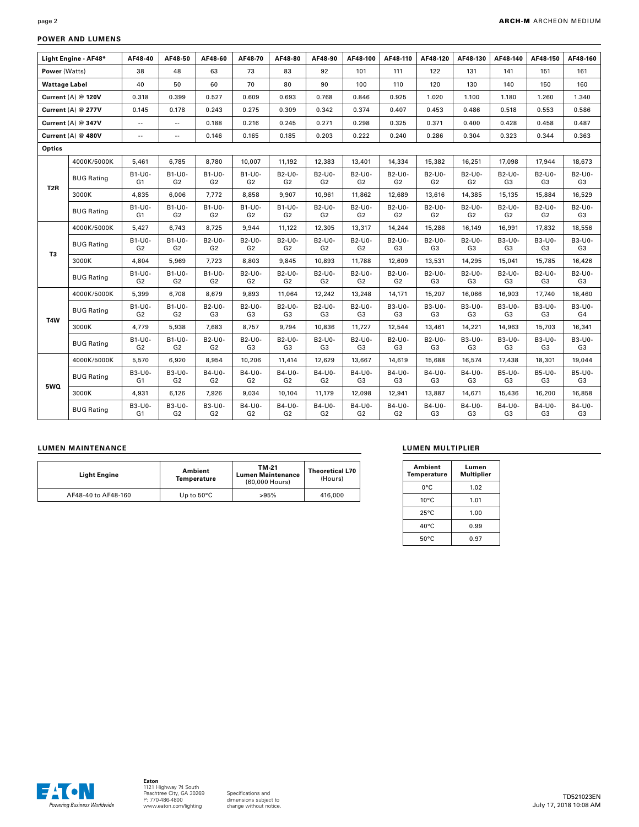### **POWER AND LUMENS**

|                      | Light Engine - AF48* | AF48-40                  | AF48-50                  | AF48-60                  | AF48-70                  | AF48-80                  | AF48-90                  | AF48-100                 | AF48-110                 | AF48-120                 | AF48-130                 | AF48-140     | AF48-150                 | AF48-160                 |
|----------------------|----------------------|--------------------------|--------------------------|--------------------------|--------------------------|--------------------------|--------------------------|--------------------------|--------------------------|--------------------------|--------------------------|--------------|--------------------------|--------------------------|
| Power (Watts)        |                      | 38                       | 48                       | 63                       | 73                       | 83                       | 92                       | 101                      | 111                      | 122                      | 131                      | 141          | 151                      | 161                      |
| <b>Wattage Label</b> |                      | 40                       | 50                       | 60                       | 70                       | 80                       | 90                       | 100                      | 110                      | 120                      | 130                      | 140          | 150                      | 160                      |
| Current (A) @ 120V   |                      | 0.318                    | 0.399                    | 0.527                    | 0.609                    | 0.693                    | 0.768                    | 0.846                    | 0.925                    | 1.020                    | 1.100                    | 1.180        | 1.260                    | 1.340                    |
|                      |                      |                          |                          |                          |                          |                          |                          |                          |                          |                          |                          |              |                          |                          |
| Current (A) @ 277V   |                      | 0.145                    | 0.178                    | 0.243                    | 0.275                    | 0.309                    | 0.342                    | 0.374                    | 0.407                    | 0.453                    | 0.486                    | 0.518        | 0.553                    | 0.586                    |
| Current (A) @ 347V   |                      | $\sim$ $\sim$            | $\sim$                   | 0.188                    | 0.216                    | 0.245                    | 0.271                    | 0.298                    | 0.325                    | 0.371                    | 0.400                    | 0.428        | 0.458                    | 0.487                    |
| Current (A) @ 480V   |                      | $\sim$ $-$               | $\overline{\phantom{a}}$ | 0.146                    | 0.165                    | 0.185                    | 0.203                    | 0.222                    | 0.240                    | 0.286                    | 0.304                    | 0.323        | 0.344                    | 0.363                    |
| Optics               |                      |                          |                          |                          |                          |                          |                          |                          |                          |                          |                          |              |                          |                          |
|                      | 4000K/5000K          | 5,461                    | 6,785                    | 8,780                    | 10,007                   | 11,192                   | 12,383                   | 13,401                   | 14,334                   | 15,382                   | 16,251                   | 17,098       | 17,944                   | 18,673                   |
| T <sub>2</sub> R     | <b>BUG Rating</b>    | B1-U0-<br>G <sub>1</sub> | B1-U0-<br>G <sub>2</sub> | B1-U0-<br>G2             | B1-U0-<br>G2             | B2-U0-<br>G <sub>2</sub> | B2-U0-<br>G2             | B2-U0-<br>G2             | B2-U0-<br>G2             | B2-U0-<br>G2             | B2-U0-<br>G <sub>2</sub> | B2-U0-<br>G3 | B2-U0-<br>G3             | B2-U0-<br>G <sub>3</sub> |
|                      | 3000K                | 4.835                    | 6,006                    | 7,772                    | 8,858                    | 9,907                    | 10.961                   | 11,862                   | 12.689                   | 13,616                   | 14.385                   | 15,135       | 15,884                   | 16,529                   |
|                      | <b>BUG Rating</b>    | B1-U0-<br>G <sub>1</sub> | B1-U0-<br>G <sub>2</sub> | B1-U0-<br>G <sub>2</sub> | B1-U0-<br>G <sub>2</sub> | B1-U0-<br>G <sub>2</sub> | B2-U0-<br>G <sub>2</sub> | B2-U0-<br>G <sub>2</sub> | B2-U0-<br>G <sub>2</sub> | B2-U0-<br>G <sub>2</sub> | B2-U0-<br>G <sub>2</sub> | B2-U0-<br>G2 | B2-U0-<br>G <sub>2</sub> | B2-U0-<br>G3             |
|                      | 4000K/5000K          | 5,427                    | 6,743                    | 8,725                    | 9,944                    | 11,122                   | 12,305                   | 13,317                   | 14,244                   | 15,286                   | 16,149                   | 16,991       | 17,832                   | 18,556                   |
|                      | <b>BUG Rating</b>    | B1-U0-<br>G <sub>2</sub> | B1-U0-<br>G <sub>2</sub> | B2-U0-<br>G <sub>2</sub> | B2-U0-<br>G <sub>2</sub> | B2-U0-<br>G <sub>2</sub> | B2-U0-<br>G <sub>2</sub> | B2-U0-<br>G <sub>2</sub> | B2-U0-<br>G3             | B2-U0-<br>G3             | B2-U0-<br>G3             | B3-U0-<br>G3 | B3-U0-<br>G3             | B3-U0-<br>G3             |
| T3                   | 3000K                | 4,804                    | 5,969                    | 7,723                    | 8,803                    | 9,845                    | 10,893                   | 11,788                   | 12,609                   | 13,531                   | 14,295                   | 15,041       | 15,785                   | 16,426                   |
|                      | <b>BUG Rating</b>    | B1-U0-<br>G <sub>2</sub> | B1-U0-<br>G <sub>2</sub> | B1-U0-<br>G2             | B2-U0-<br>G <sub>2</sub> | B2-U0-<br>G2             | B2-U0-<br>G <sub>2</sub> | B2-U0-<br>G <sub>2</sub> | B2-U0-<br>G <sub>2</sub> | B2-U0-<br>G3             | B2-U0-<br>G <sub>3</sub> | B2-U0-<br>G3 | B2-U0-<br>G3             | B2-U0-<br>G <sub>3</sub> |
| T <sub>4</sub> W     | 4000K/5000K          | 5.399                    | 6,708                    | 8.679                    | 9,893                    | 11.064                   | 12,242                   | 13,248                   | 14.171                   | 15,207                   | 16.066                   | 16,903       | 17.740                   | 18,460                   |
|                      | <b>BUG Rating</b>    | B1-U0-<br>G <sub>2</sub> | B1-U0-<br>G <sub>2</sub> | B2-U0-<br>G3             | B2-U0-<br>G <sub>3</sub> | B2-U0-<br>G3             | B2-U0-<br>G3             | B2-U0-<br>G3             | B3-U0-<br>G3             | B3-U0-<br>G3             | B3-U0-<br>G3             | B3-U0-<br>G3 | B3-U0-<br>G3             | B3-U0-<br>G4             |
|                      | 3000K                | 4,779                    | 5,938                    | 7,683                    | 8,757                    | 9,794                    | 10,836                   | 11,727                   | 12,544                   | 13,461                   | 14,221                   | 14,963       | 15,703                   | 16,341                   |
|                      | <b>BUG Rating</b>    | B1-U0-<br>G <sub>2</sub> | B1-U0-<br>G <sub>2</sub> | B2-U0-<br>G <sub>2</sub> | B2-U0-<br>G <sub>3</sub> | B2-U0-<br>G3             | B2-U0-<br>G3             | B2-U0-<br>G3             | B2-U0-<br>G3             | B2-U0-<br>G3             | B3-U0-<br>G3             | B3-U0-<br>G3 | B3-U0-<br>G3             | B3-U0-<br>G3             |
|                      | 4000K/5000K          | 5,570                    | 6,920                    | 8,954                    | 10,206                   | 11,414                   | 12,629                   | 13,667                   | 14,619                   | 15,688                   | 16,574                   | 17,438       | 18,301                   | 19,044                   |
|                      | <b>BUG Rating</b>    | B3-U0-<br>G <sub>1</sub> | B3-U0-<br>G <sub>2</sub> | B4-U0-<br>G <sub>2</sub> | B4-U0-<br>G <sub>2</sub> | B4-U0-<br>G <sub>2</sub> | B4-U0-<br>G <sub>2</sub> | B4-U0-<br>G <sub>3</sub> | B4-U0-<br>G3             | B4-U0-<br>G3             | B4-U0-<br>G3             | B5-U0-<br>G3 | B5-U0-<br>G3             | B5-U0-<br>G <sub>3</sub> |
| 5WQ                  | 3000K                | 4,931                    | 6,126                    | 7,926                    | 9,034                    | 10,104                   | 11,179                   | 12,098                   | 12,941                   | 13,887                   | 14,671                   | 15,436       | 16,200                   | 16,858                   |
|                      | <b>BUG Rating</b>    | B3-U0-<br>G1             | B3-U0-<br>G <sub>2</sub> | B3-U0-<br>G <sub>2</sub> | B4-U0-<br>G2             | B4-U0-<br>G2             | B4-U0-<br>G2             | B4-U0-<br>G2             | B4-U0-<br>G <sub>2</sub> | B4-U0-<br>G3             | B4-U0-<br>G3             | B4-U0-<br>G3 | B4-U0-<br>G3             | B4-U0-<br>G3             |

### **LUMEN MAINTENANCE**

| <b>Light Engine</b> | Ambient<br>Temperature | TM-21<br><b>Lumen Maintenance</b><br>(60,000 Hours) | <b>Theoretical L70</b><br>(Hours) |  |
|---------------------|------------------------|-----------------------------------------------------|-----------------------------------|--|
| AF48-40 to AF48-160 | Up to $50^{\circ}$ C   | >95%                                                | 416,000                           |  |

### **LUMEN MULTIPLIER**

| Ambient<br>Temperature | Lumen<br><b>Multiplier</b> |
|------------------------|----------------------------|
| 0°C                    | 1.02                       |
| $10^{\circ}$ C         | 1.01                       |
| $25^{\circ}$ C         | 1.00                       |
| $40^{\circ}$ C         | 0.99                       |
| $50^{\circ}$ C         | 0.97                       |